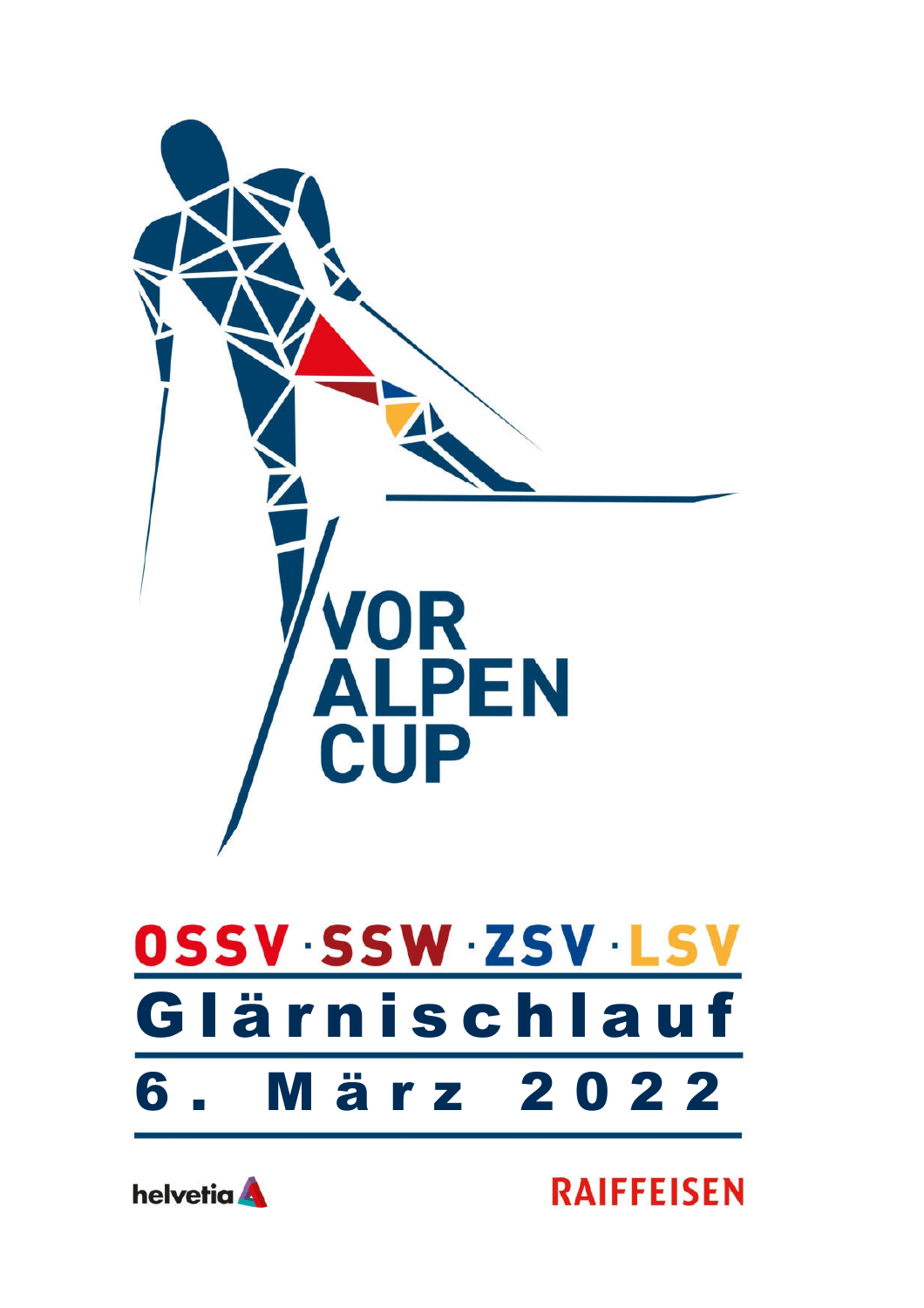



**RAIFFEISEN**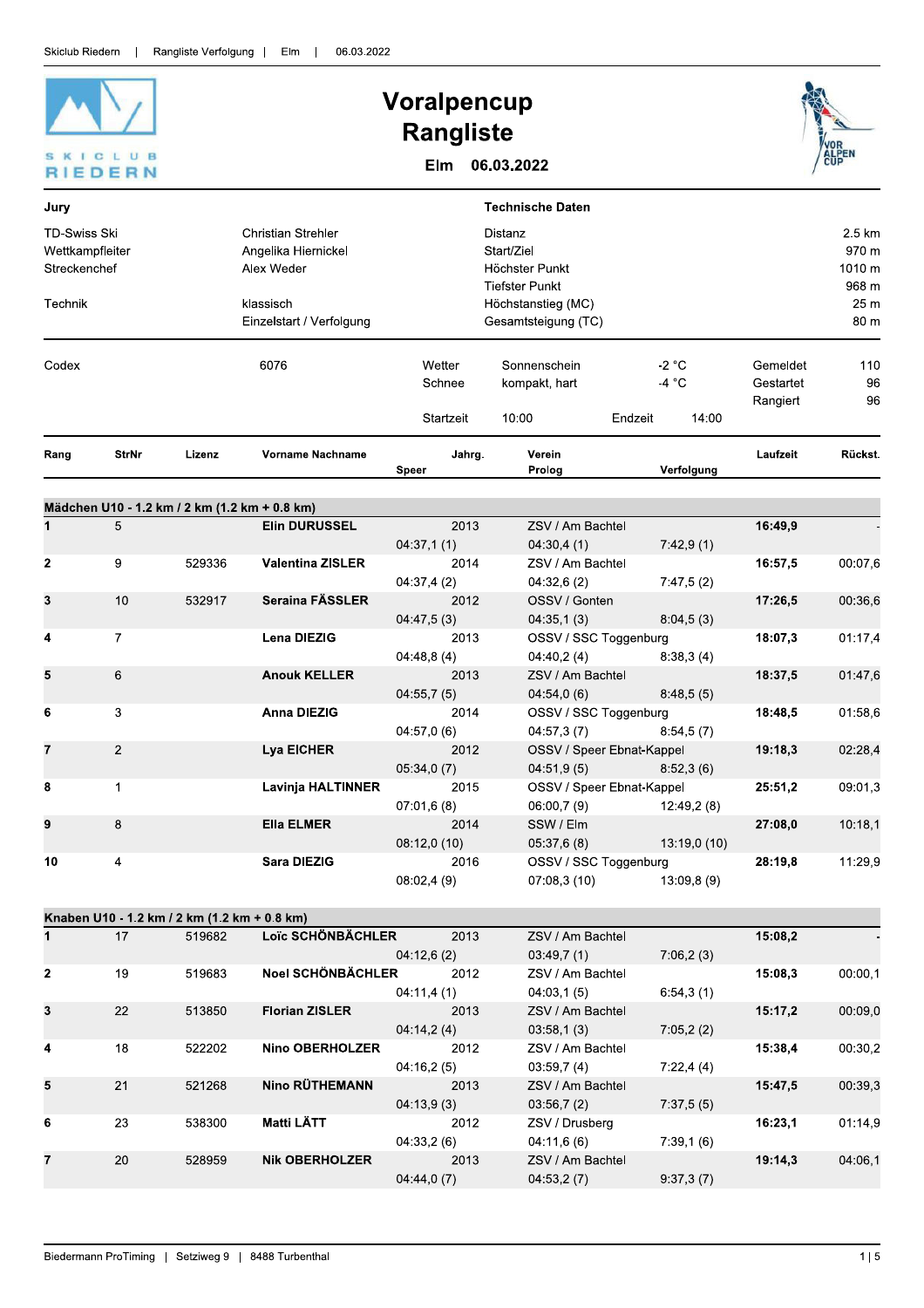

# Voralpencup **Rangliste**

Elm 06.03.2022



 $04:33,2(6)$ 

 $04:44,0(7)$ 

2013

 $04:11,6(6)$ 

 $04:53,2(7)$ 

ZSV / Am Bachtel

 $7:39,1(6)$ 

 $9:37,3(7)$ 

19:14,3

528959

**Nik OBERHOLZER** 

20

04:06,1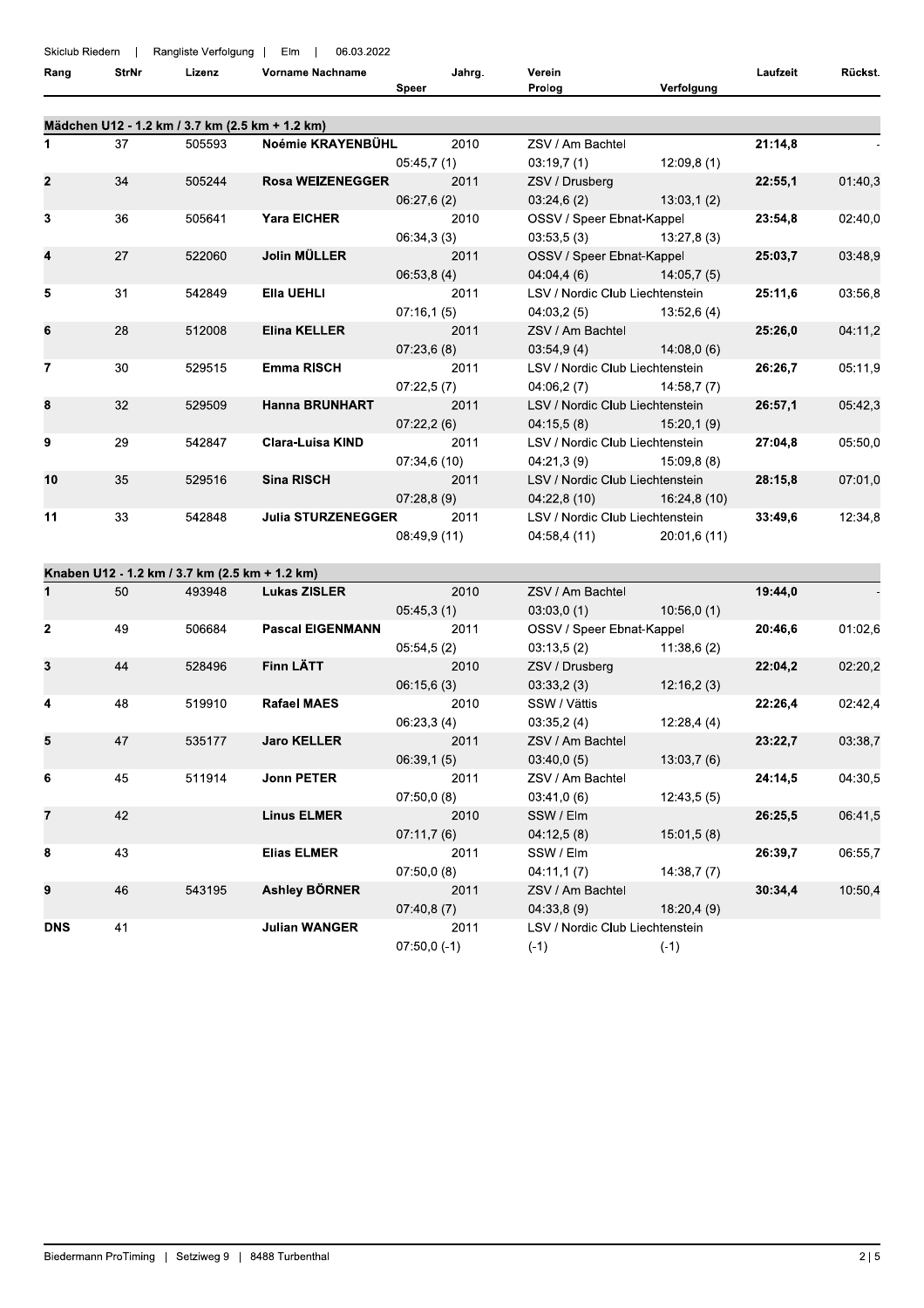| Skiclub Riedern | $\blacksquare$ | Rangliste Verfolgung                            | Elm<br>06.03.2022         |                    |                                               |              |          |         |
|-----------------|----------------|-------------------------------------------------|---------------------------|--------------------|-----------------------------------------------|--------------|----------|---------|
| Rang            | <b>StrNr</b>   | Lizenz                                          | Vorname Nachname          | Jahrg.<br>Speer    | Verein<br>Prolog                              | Verfolgung   | Laufzeit | Rückst. |
|                 |                | Mädchen U12 - 1.2 km / 3.7 km (2.5 km + 1.2 km) |                           |                    |                                               |              |          |         |
| 1               | 37             | 505593                                          | Noémie KRAYENBÜHL         | 2010               | ZSV / Am Bachtel                              |              | 21:14,8  |         |
|                 |                |                                                 |                           | 05:45,7(1)         | 03:19,7(1)                                    | 12:09,8(1)   |          |         |
| 2               | 34             | 505244                                          | <b>Rosa WEIZENEGGER</b>   | 2011               | ZSV / Drusberg                                |              | 22:55,1  | 01:40,3 |
|                 |                |                                                 |                           | 06:27,6(2)         | 03:24,6(2)                                    | 13:03,1(2)   |          |         |
| 3               | 36             | 505641                                          | <b>Yara EICHER</b>        | 2010               | OSSV / Speer Ebnat-Kappel                     |              | 23:54,8  | 02:40,0 |
|                 |                |                                                 |                           | 06:34,3(3)         | 03:53,5(3)                                    | 13:27,8(3)   |          |         |
| 4               | 27             | 522060                                          | Jolin MÜLLER              | 2011               | OSSV / Speer Ebnat-Kappel                     |              | 25:03,7  | 03:48,9 |
| 5               | 31             | 542849                                          | Ella UEHLI                | 06:53,8(4)<br>2011 | 04:04,4(6)<br>LSV / Nordic Club Liechtenstein | 14:05,7(5)   | 25:11,6  | 03:56,8 |
|                 |                |                                                 |                           | 07:16,1(5)         | 04:03,2 (5)                                   | 13:52.6(4)   |          |         |
| 6               | 28             | 512008                                          | <b>Elina KELLER</b>       | 2011               | ZSV / Am Bachtel                              |              | 25:26.0  | 04:11,2 |
|                 |                |                                                 |                           | 07:23,6(8)         | 03:54,9(4)                                    | 14.08,0(6)   |          |         |
| 7               | 30             | 529515                                          | <b>Emma RISCH</b>         | 2011               | LSV / Nordic Club Liechtenstein               |              | 26:26,7  | 05:11,9 |
|                 |                |                                                 |                           | 07:22,5(7)         | 04:06,2 (7)                                   | 14:58,7(7)   |          |         |
| 8               | 32             | 529509                                          | <b>Hanna BRUNHART</b>     | 2011               | LSV / Nordic Club Liechtenstein               |              | 26:57,1  | 05:42,3 |
|                 |                |                                                 |                           | 07:22,2(6)         | 04:15,5(8)                                    | 15:20,1(9)   |          |         |
| 9               | 29             | 542847                                          | <b>Clara-Luisa KIND</b>   | 2011               | LSV / Nordic Club Liechtenstein               |              | 27:04,8  | 05:50,0 |
|                 |                |                                                 |                           | 07:34,6(10)        | 04:21,3(9)                                    | 15:09,8(8)   |          |         |
| 10              | 35             | 529516                                          | <b>Sina RISCH</b>         | 2011               | LSV / Nordic Club Liechtenstein               |              | 28:15,8  | 07:01,0 |
|                 |                |                                                 |                           | 07:28,8(9)         | 04:22,8(10)                                   | 16:24,8(10)  |          |         |
| 11              | 33             | 542848                                          | <b>Julia STURZENEGGER</b> | 2011               | LSV / Nordic Club Liechtenstein               |              | 33:49,6  | 12:34,8 |
|                 |                |                                                 |                           | 08:49,9 (11)       | 04:58,4 (11)                                  | 20:01,6 (11) |          |         |
|                 |                | Knaben U12 - 1.2 km / 3.7 km (2.5 km + 1.2 km)  |                           |                    |                                               |              |          |         |
| 1               | 50             | 493948                                          | <b>Lukas ZISLER</b>       | 2010               | ZSV / Am Bachtel                              |              | 19:44,0  |         |
|                 |                |                                                 |                           | 05:45,3(1)         | 03:03,0(1)                                    | 10:56,0(1)   |          |         |
| $\mathbf{2}$    | 49             | 506684                                          | <b>Pascal EIGENMANN</b>   | 2011               | OSSV / Speer Ebnat-Kappel                     |              | 20:46,6  | 01:02.6 |
|                 |                |                                                 |                           | 05:54,5(2)         | 03:13,5(2)                                    | 11:38,6(2)   |          |         |
|                 | 44             | 528496                                          | Finn LÄTT                 | 2010               | ZSV / Drusberg                                |              | 22:04,2  | 02:20,2 |
|                 |                |                                                 |                           | 06:15,6(3)         | 03:33,2(3)                                    | 12:16,2(3)   |          |         |
| 4               | 48             | 519910                                          | <b>Rafael MAES</b>        | 2010               | SSW / Vättis                                  |              | 22:26,4  | 02:42,4 |
|                 | 47             |                                                 | <b>Jaro KELLER</b>        | 06:23,3(4)<br>2011 | 03:35,2(4)                                    | 12:28,4(4)   |          |         |
| 5               |                | 535177                                          |                           | 06:39,1(5)         | ZSV / Am Bachtel<br>03:40,0(5)                | 13:03,7(6)   | 23:22,7  | 03:38,7 |
| 6               | 45             | 511914                                          | <b>Jonn PETER</b>         | 2011               | ZSV / Am Bachtel                              |              | 24:14,5  | 04:30,5 |
|                 |                |                                                 |                           | 07:50,0(8)         | 03:41,0(6)                                    | 12:43,5(5)   |          |         |
| 7               | 42             |                                                 | <b>Linus ELMER</b>        | 2010               | SSW / Elm                                     |              | 26:25,5  | 06:41,5 |
|                 |                |                                                 |                           | 07:11,7(6)         | 04:12,5(8)                                    | 15:01,5(8)   |          |         |
| 8               | 43             |                                                 | <b>Elias ELMER</b>        | 2011               | SSW / Elm                                     |              | 26:39,7  | 06:55,7 |
|                 |                |                                                 |                           | 07:50,0(8)         | 04:11,1(7)                                    | 14:38,7(7)   |          |         |
| 9               | 46             | 543195                                          | <b>Ashley BÖRNER</b>      | 2011               | ZSV / Am Bachtel                              |              | 30:34,4  | 10:50,4 |
|                 |                |                                                 |                           | 07:40,8(7)         | 04.33,8(9)                                    | 18:20,4 (9)  |          |         |
| <b>DNS</b>      | 41             |                                                 | <b>Julian WANGER</b>      | 2011               | LSV / Nordic Club Liechtenstein               |              |          |         |
|                 |                |                                                 |                           | $07:50,0(-1)$      | $(-1)$                                        | $(-1)$       |          |         |
|                 |                |                                                 |                           |                    |                                               |              |          |         |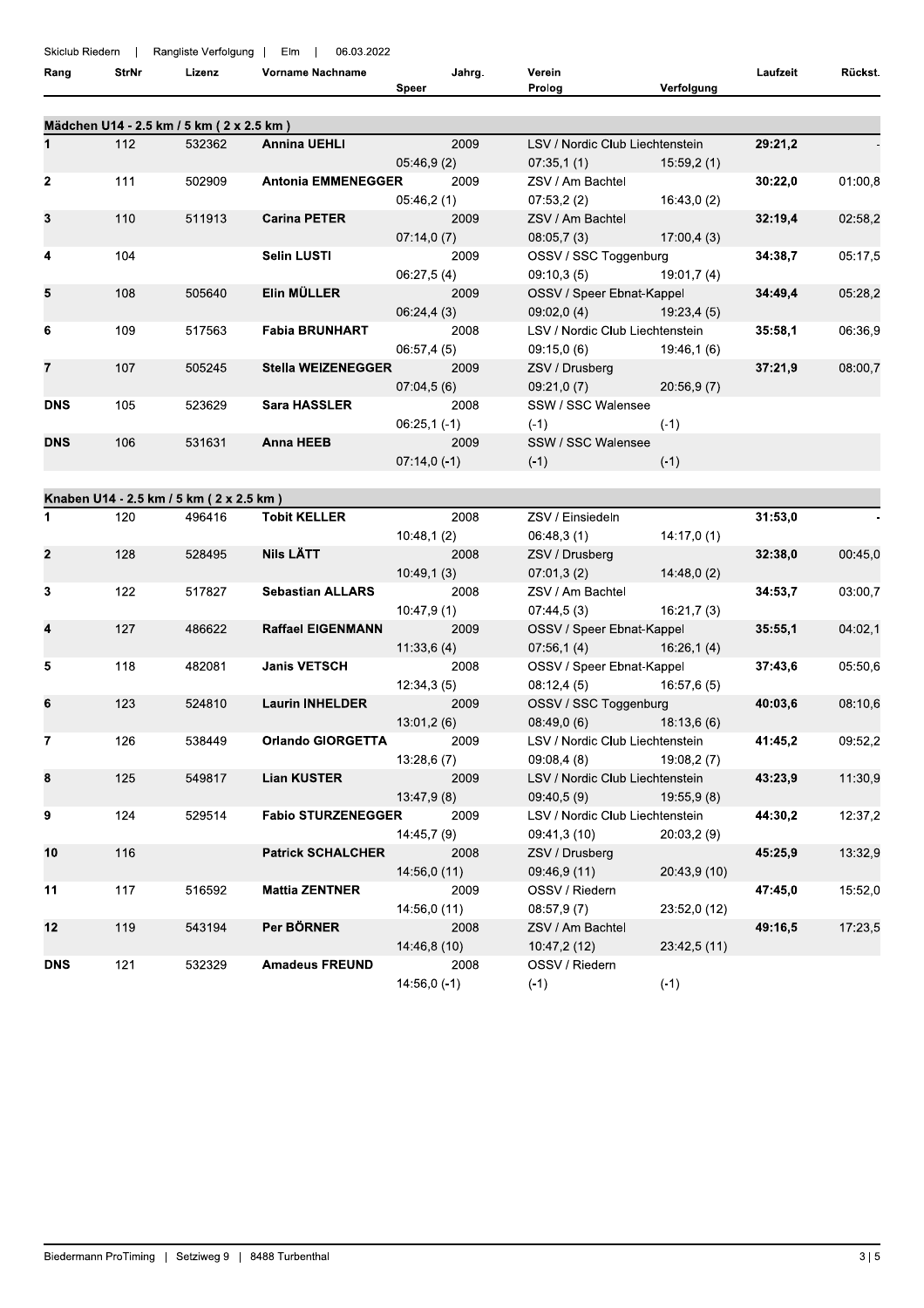## Skiclub Riedern | Rangliste Verfolgung | Flm | 06.03.2022

| <b>UNIUMU INICUEITI</b><br>Rang | StrNr | Lizenz                                    | Vorname Nachname          | Jahrg.<br>Speer       | Verein<br>Prolog                                     | Verfolgung   | Laufzeit | Rückst. |
|---------------------------------|-------|-------------------------------------------|---------------------------|-----------------------|------------------------------------------------------|--------------|----------|---------|
|                                 |       | Mädchen U14 - 2.5 km / 5 km ( 2 x 2.5 km) |                           |                       |                                                      |              |          |         |
| $\mathbf{1}$                    | 112   | 532362                                    | <b>Annina UEHLI</b>       | 2009<br>05:46,9(2)    | LSV / Nordic Club Liechtenstein<br>07:35,1(1)        | 15:59,2(1)   | 29:21,2  |         |
| $\mathbf{2}$                    | 111   | 502909                                    | <b>Antonia EMMENEGGER</b> | 2009<br>05:46,2(1)    | ZSV / Am Bachtel<br>07:53,2(2)                       | 16:43,0 (2)  | 30:22,0  | 01:00,8 |
| 3                               | 110   | 511913                                    | <b>Carina PETER</b>       | 2009<br>07:14,0(7)    | ZSV / Am Bachtel<br>08:05,7(3)                       | 17:00,4(3)   | 32:19,4  | 02:58,2 |
| 4                               | 104   |                                           | <b>Selin LUSTI</b>        | 2009<br>06:27,5(4)    | OSSV / SSC Toggenburg<br>09:10.3(5)                  | 19:01.7(4)   | 34:38,7  | 05:17,5 |
| 5                               | 108   | 505640                                    | Elin MÜLLER               | 2009<br>06:24,4(3)    | OSSV / Speer Ebnat-Kappel<br>09.02, 0(4)             | 19:23,4 (5)  | 34:49,4  | 05:28,2 |
| 6                               | 109   | 517563                                    | <b>Fabia BRUNHART</b>     | 2008<br>06:57,4(5)    | LSV / Nordic Club Liechtenstein<br>09:15,0(6)        | 19:46,1 (6)  | 35:58,1  | 06:36,9 |
| $\overline{7}$                  | 107   | 505245                                    | <b>Stella WEIZENEGGER</b> | 2009<br>07:04,5(6)    | ZSV / Drusberg<br>09:21,0(7)                         | 20:56,9(7)   | 37:21,9  | 08:00,7 |
| <b>DNS</b>                      | 105   | 523629                                    | <b>Sara HASSLER</b>       | 2008<br>$06:25,1(-1)$ | SSW / SSC Walensee<br>$(-1)$                         | $(-1)$       |          |         |
| <b>DNS</b>                      | 106   | 531631                                    | <b>Anna HEEB</b>          | 2009<br>$07:14,0(-1)$ | SSW / SSC Walensee<br>$(-1)$                         | $(-1)$       |          |         |
|                                 |       | Knaben U14 - 2.5 km / 5 km ( 2 x 2.5 km)  |                           |                       |                                                      |              |          |         |
| $\mathbf{1}$                    | 120   | 496416                                    | <b>Tobit KELLER</b>       | 2008                  | ZSV / Einsiedeln                                     |              | 31:53,0  |         |
| $\mathbf{2}$                    | 128   | 528495                                    | Nils LÄTT                 | 10:48,1(2)<br>2008    | 06:48,3(1)<br>ZSV / Drusberg                         | 14:17,0(1)   | 32:38,0  | 00:45,0 |
|                                 |       |                                           |                           | 10:49,1(3)            | 07:01,3(2)                                           | 14:48,0(2)   |          |         |
| 3                               | 122   | 517827                                    | <b>Sebastian ALLARS</b>   | 2008<br>10:47,9(1)    | ZSV / Am Bachtel<br>07:44,5(3)                       | 16:21,7(3)   | 34:53,7  | 03:00,7 |
| 4                               | 127   | 486622                                    | <b>Raffael EIGENMANN</b>  | 2009                  | OSSV / Speer Ebnat-Kappel                            |              | 35:55,1  | 04:02,1 |
| 5                               | 118   | 482081                                    | <b>Janis VETSCH</b>       | 11:33,6(4)<br>2008    | $07:56,1(4)$ 16:26,1(4)<br>OSSV / Speer Ebnat-Kappel |              | 37:43,6  | 05:50.6 |
|                                 |       |                                           |                           | 12:34,3(5)            | 08:12,4(5)                                           | 16:57,6 (5)  |          |         |
| 6                               | 123   | 524810                                    | <b>Laurin INHELDER</b>    | 2009<br>13:01,2(6)    | OSSV / SSC Toggenburg<br>08:49,0 (6) 18:13,6 (6)     |              | 40:03,6  | 08:10,6 |
| $\overline{7}$                  | 126   | 538449                                    | <b>Orlando GIORGETTA</b>  | 2009<br>13:28,6(7)    | LSV / Nordic Club Liechtenstein<br>09:08,4(8)        | 19:08,2(7)   | 41:45,2  | 09:52,2 |
| 8                               | 125   | 549817                                    | <b>Lian KUSTER</b>        | 2009<br>13:47,9(8)    | LSV / Nordic Club Liechtenstein<br>09:40,5(9)        | 19:55,9(8)   | 43:23,9  | 11:30,9 |
| 9                               | 124   | 529514                                    | <b>Fabio STURZENEGGER</b> | 2009<br>14:45,7 (9)   | LSV / Nordic Club Liechtenstein<br>09:41,3 (10)      | 20:03,2(9)   | 44:30,2  | 12:37,2 |
| 10                              | 116   |                                           | <b>Patrick SCHALCHER</b>  | 2008<br>14:56,0(11)   | ZSV / Drusberg<br>09:46,9 (11)                       | 20:43,9 (10) | 45:25,9  | 13:32,9 |
| 11                              | 117   | 516592                                    | <b>Mattia ZENTNER</b>     | 2009<br>14:56,0 (11)  | OSSV / Riedern<br>08.57,9(7)                         | 23:52,0 (12) | 47:45,0  | 15:52,0 |
| 12                              | 119   | 543194                                    | Per BÖRNER                | 2008<br>14:46,8 (10)  | ZSV / Am Bachtel<br>10.47,2 (12)                     | 23:42,5 (11) | 49:16,5  | 17:23,5 |
| <b>DNS</b>                      | 121   | 532329                                    | <b>Amadeus FREUND</b>     | 2008<br>$14:56,0(-1)$ | OSSV / Riedern<br>$(-1)$                             | $(-1)$       |          |         |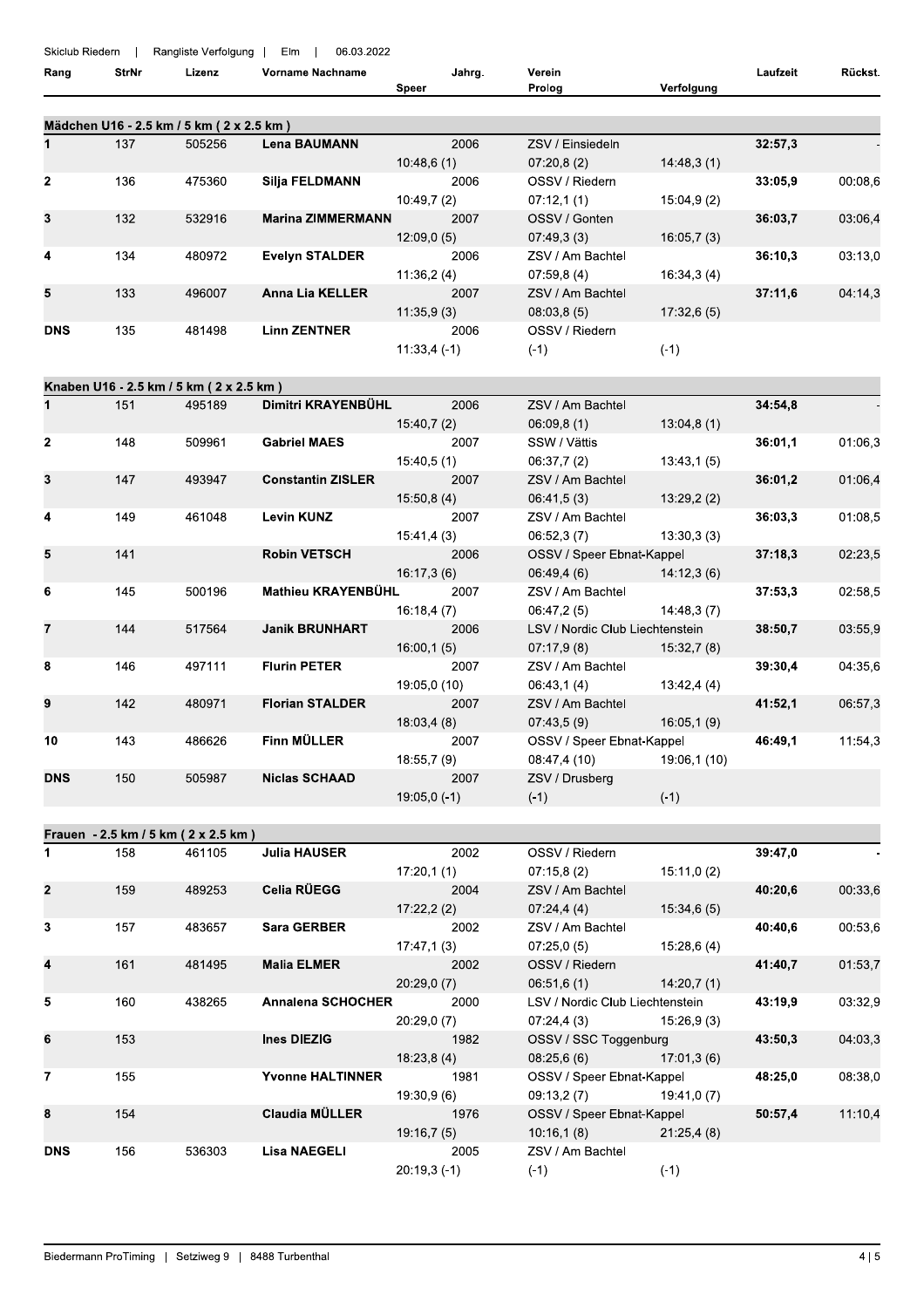#### Skiclub Riedern | Rangliste Verfolgung | Elm | 06.03.2022

| Rang       | <b>StrNr</b> | Lizenz                                     | <b>Vorname Nachname</b>  | Jahrg.        | Verein           |            | Laufzeit | Rückst. |
|------------|--------------|--------------------------------------------|--------------------------|---------------|------------------|------------|----------|---------|
|            |              |                                            |                          | Speer         | Prolog           | Verfolgung |          |         |
|            |              |                                            |                          |               |                  |            |          |         |
|            |              | Mädchen U16 - 2.5 km / 5 km ( 2 x 2.5 km ) |                          |               |                  |            |          |         |
|            | 137          | 505256                                     | <b>Lena BAUMANN</b>      | 2006          | ZSV / Einsiedeln |            | 32:57,3  |         |
|            |              |                                            |                          | 10:48,6(1)    | 07:20,8(2)       | 14:48,3(1) |          |         |
| 2          | 136          | 475360                                     | Silja FELDMANN           | 2006          | OSSV / Riedern   |            | 33:05.9  | 00:08,6 |
|            |              |                                            |                          | 10:49.7(2)    | 07:12,1(1)       | 15:04,9(2) |          |         |
| 3          | 132          | 532916                                     | <b>Marina ZIMMERMANN</b> | 2007          | OSSV / Gonten    |            | 36:03.7  | 03:06,4 |
|            |              |                                            |                          | 12:09,0(5)    | 07:49,3(3)       | 16:05,7(3) |          |         |
| 4          | 134          | 480972                                     | <b>Evelyn STALDER</b>    | 2006          | ZSV / Am Bachtel |            | 36:10.3  | 03:13,0 |
|            |              |                                            |                          | 11:36,2(4)    | 07:59.8(4)       | 16:34,3(4) |          |         |
| 5          | 133          | 496007                                     | <b>Anna Lia KELLER</b>   | 2007          | ZSV / Am Bachtel |            | 37:11.6  | 04:14.3 |
|            |              |                                            |                          | 11.35,9(3)    | 08.03,8(5)       | 17:32,6(5) |          |         |
| <b>DNS</b> | 135          | 481498                                     | <b>Linn ZENTNER</b>      | 2006          | OSSV / Riedern   |            |          |         |
|            |              |                                            |                          | $11.33.4(-1)$ | $(-1)$           | $(-1)$     |          |         |

# Knaben U16 - 2.5 km / 5 km ( 2 x 2.5 km)

| 1              | 151 | 495189 | Dimitri KRAYENBÜHL       | 2006          | ZSV / Am Bachtel                |                           | 34:54,8 |         |
|----------------|-----|--------|--------------------------|---------------|---------------------------------|---------------------------|---------|---------|
|                |     |        |                          | 15:40,7 (2)   | 06.09, 8(1)                     | 13:04,8(1)                |         |         |
| $\overline{2}$ | 148 | 509961 | <b>Gabriel MAES</b>      | 2007          | SSW / Vättis                    |                           | 36:01,1 | 01:06,3 |
|                |     |        |                          | 15.40,5(1)    | 06:37,7 (2)                     | 13:43,1 (5)               |         |         |
| 3              | 147 | 493947 | <b>Constantin ZISLER</b> | 2007          | ZSV / Am Bachtel                |                           | 36:01,2 | 01:06,4 |
|                |     |        |                          | 15.50, 8(4)   | 06.41,5(3)                      | 13:29,2(2)                |         |         |
| 4              | 149 | 461048 | <b>Levin KUNZ</b>        | 2007          | ZSV / Am Bachtel                |                           | 36:03,3 | 01:08,5 |
|                |     |        |                          | 15:41,4 (3)   | 06.52,3(7)                      | 13:30,3 (3)               |         |         |
| 5              | 141 |        | <b>Robin VETSCH</b>      | 2006          | OSSV / Speer Ebnat-Kappel       |                           | 37:18,3 | 02:23,5 |
|                |     |        |                          | 16:17,3 (6)   | $06:49,4(6)$ 14:12,3(6)         |                           |         |         |
| 6              | 145 | 500196 | Mathieu KRAYENBÜHL       | 2007          | ZSV / Am Bachtel                |                           | 37:53,3 | 02:58,5 |
|                |     |        |                          | 16:18,4(7)    | $06:47,2(5)$ 14:48,3(7)         |                           |         |         |
| $\overline{7}$ | 144 | 517564 | <b>Janik BRUNHART</b>    | 2006          | LSV / Nordic Club Liechtenstein |                           | 38:50,7 | 03:55,9 |
|                |     |        |                          | 16:00,1(5)    | $07:17,9(8)$ 15:32,7(8)         |                           |         |         |
| 8              | 146 | 497111 | <b>Flurin PETER</b>      | 2007          | ZSV / Am Bachtel                |                           | 39:30,4 | 04:35,6 |
|                |     |        |                          | 19:05,0 (10)  | $06:43,1(4)$ 13:42,4(4)         |                           |         |         |
| 9              | 142 | 480971 | <b>Florian STALDER</b>   | 2007          | ZSV / Am Bachtel                |                           | 41:52,1 | 06:57,3 |
|                |     |        |                          | 18:03,4 (8)   | 07:43,5(9)                      | 16:05,1 (9)               |         |         |
| 10             | 143 | 486626 | Finn MÜLLER              | 2007          | OSSV / Speer Ebnat-Kappel       |                           | 46:49,1 | 11:54,3 |
|                |     |        |                          | 18:55,7 (9)   |                                 | 08:47,4 (10) 19:06,1 (10) |         |         |
| <b>DNS</b>     | 150 | 505987 | <b>Niclas SCHAAD</b>     | 2007          | ZSV / Drusberg                  |                           |         |         |
|                |     |        |                          | $19:05,0(-1)$ | $(-1)$                          | $(-1)$                    |         |         |

|              |     | Frauen - 2.5 km / 5 km ( 2 x 2.5 km ) |                          |                |                                 |                         |         |         |
|--------------|-----|---------------------------------------|--------------------------|----------------|---------------------------------|-------------------------|---------|---------|
| 1.           | 158 | 461105                                | <b>Julia HAUSER</b>      | 2002           | OSSV / Riedern                  |                         | 39:47,0 |         |
|              |     |                                       |                          | 17:20,1(1)     | 07:15,8 (2)                     | 15:11,0(2)              |         |         |
| $\mathbf{2}$ | 159 | 489253                                | Celia RÜEGG              | 2004           | ZSV / Am Bachtel                |                         | 40:20,6 | 00:33,6 |
|              |     |                                       |                          | 17:22,2(2)     | 07:24,4(4)                      | 15:34,6(5)              |         |         |
| 3            | 157 | 483657                                | <b>Sara GERBER</b>       | 2002           | ZSV / Am Bachtel                |                         | 40:40,6 | 00:53,6 |
|              |     |                                       |                          | 17:47,1 (3)    | 07:25,0(5)                      | 15:28,6 (4)             |         |         |
| 4            | 161 | 481495                                | <b>Malia ELMER</b>       | 2002           | OSSV / Riedern                  |                         | 41:40,7 | 01:53,7 |
|              |     |                                       |                          | 20:29,0(7)     | 06:51,6(1)                      | 14:20,7 (1)             |         |         |
| 5            | 160 | 438265                                | <b>Annalena SCHOCHER</b> | 2000           | LSV / Nordic Club Liechtenstein |                         | 43:19,9 | 03:32,9 |
|              |     |                                       |                          | 20:29,0(7)     | 07.24,4(3)                      | 15:26,9 (3)             |         |         |
| 6            | 153 |                                       | Ines DIEZIG              | 1982           | OSSV / SSC Toggenburg           |                         | 43:50,3 | 04:03,3 |
|              |     |                                       |                          | 18.23, 8(4)    | 08.25,6(6)                      | 17:01,3 (6)             |         |         |
| 7            | 155 |                                       | <b>Yvonne HALTINNER</b>  | 1981           | OSSV / Speer Ebnat-Kappel       |                         | 48:25,0 | 08:38,0 |
|              |     |                                       |                          | 19:30,9 (6)    | 09:13,2(7)                      | 19:41,0 (7)             |         |         |
| 8            | 154 |                                       | <b>Claudia MÜLLER</b>    | 1976           | OSSV / Speer Ebnat-Kappel       |                         | 50:57,4 | 11:10,4 |
|              |     |                                       |                          | 19:16,7(5)     |                                 | $10:16,1(8)$ 21:25,4(8) |         |         |
| <b>DNS</b>   | 156 | 536303                                | <b>Lisa NAEGELI</b>      | 2005           | ZSV / Am Bachtel                |                         |         |         |
|              |     |                                       |                          | $20:19,3( -1)$ | $(-1)$                          | $(-1)$                  |         |         |